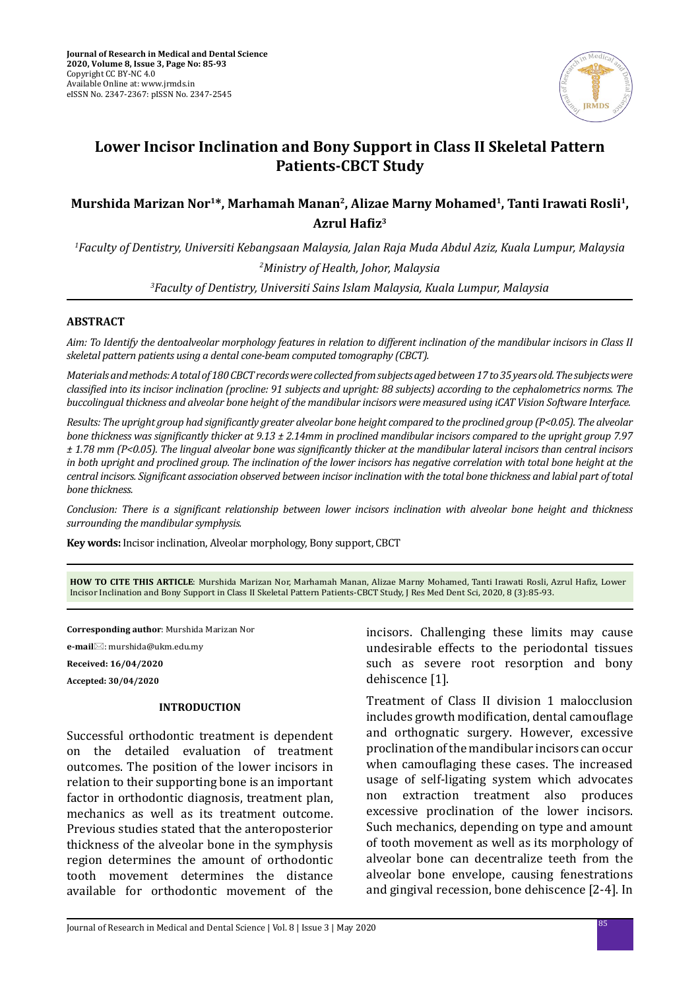

# **Lower Incisor Inclination and Bony Support in Class II Skeletal Pattern Patients-CBCT Study**

# **Murshida Marizan Nor1\*, Marhamah Manan2, Alizae Marny Mohamed1, Tanti Irawati Rosli1, Azrul Hafiz<sup>3</sup>**

*1 Faculty of Dentistry, Universiti Kebangsaan Malaysia, Jalan Raja Muda Abdul Aziz, Kuala Lumpur, Malaysia 2 Ministry of Health, Johor, Malaysia 3 Faculty of Dentistry, Universiti Sains Islam Malaysia, Kuala Lumpur, Malaysia*

# **ABSTRACT**

*Aim: To Identify the dentoalveolar morphology features in relation to different inclination of the mandibular incisors in Class II skeletal pattern patients using a dental cone-beam computed tomography (CBCT).* 

*Materials and methods: A total of 180 CBCT records were collected from subjects aged between 17 to 35 years old. The subjects were classified into its incisor inclination (procline: 91 subjects and upright: 88 subjects) according to the cephalometrics norms. The buccolingual thickness and alveolar bone height of the mandibular incisors were measured using iCAT Vision Software Interface.* 

*Results: The upright group had significantly greater alveolar bone height compared to the proclined group (P<0.05). The alveolar bone thickness was significantly thicker at 9.13 ± 2.14mm in proclined mandibular incisors compared to the upright group 7.97 ± 1.78 mm (P<0.05). The lingual alveolar bone was significantly thicker at the mandibular lateral incisors than central incisors in both upright and proclined group. The inclination of the lower incisors has negative correlation with total bone height at the central incisors. Significant association observed between incisor inclination with the total bone thickness and labial part of total bone thickness.* 

*Conclusion: There is a significant relationship between lower incisors inclination with alveolar bone height and thickness surrounding the mandibular symphysis.*

**Key words:** Incisor inclination, Alveolar morphology, Bony support, CBCT

**HOW TO CITE THIS ARTICLE**: Murshida Marizan Nor, Marhamah Manan, Alizae Marny Mohamed, Tanti Irawati Rosli, Azrul Hafiz, Lower Incisor Inclination and Bony Support in Class II Skeletal Pattern Patients-CBCT Study, J Res Med Dent Sci, 2020, 8 (3):85-93.

**Corresponding author**: Murshida Marizan Nor

**e-mail**: murshida@ukm.edu.my

**Received: 16/04/2020**

**Accepted: 30/04/2020**

#### **INTRODUCTION**

Successful orthodontic treatment is dependent on the detailed evaluation of treatment outcomes. The position of the lower incisors in relation to their supporting bone is an important factor in orthodontic diagnosis, treatment plan, mechanics as well as its treatment outcome. Previous studies stated that the anteroposterior thickness of the alveolar bone in the symphysis region determines the amount of orthodontic tooth movement determines the distance available for orthodontic movement of the incisors. Challenging these limits may cause undesirable effects to the periodontal tissues such as severe root resorption and bony dehiscence [1].

Treatment of Class II division 1 malocclusion includes growth modification, dental camouflage and orthognatic surgery. However, excessive proclination of the mandibular incisors can occur when camouflaging these cases. The increased usage of self-ligating system which advocates non extraction treatment also produces excessive proclination of the lower incisors. Such mechanics, depending on type and amount of tooth movement as well as its morphology of alveolar bone can decentralize teeth from the alveolar bone envelope, causing fenestrations and gingival recession, bone dehiscence [2-4]. In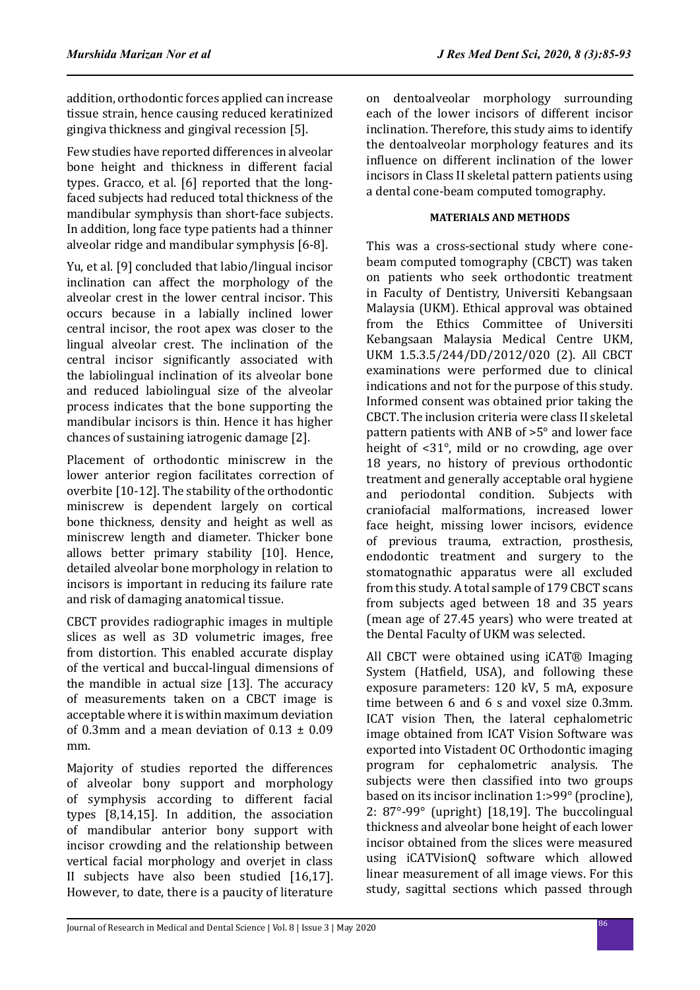addition, orthodontic forces applied can increase tissue strain, hence causing reduced keratinized gingiva thickness and gingival recession [5].

Few studies have reported differences in alveolar bone height and thickness in different facial types. Gracco, et al. [6] reported that the longfaced subjects had reduced total thickness of the mandibular symphysis than short-face subjects. In addition, long face type patients had a thinner alveolar ridge and mandibular symphysis [6-8].

Yu, et al. [9] concluded that labio/lingual incisor inclination can affect the morphology of the alveolar crest in the lower central incisor. This occurs because in a labially inclined lower central incisor, the root apex was closer to the lingual alveolar crest. The inclination of the central incisor significantly associated with the labiolingual inclination of its alveolar bone and reduced labiolingual size of the alveolar process indicates that the bone supporting the mandibular incisors is thin. Hence it has higher chances of sustaining iatrogenic damage [2].

Placement of orthodontic miniscrew in the lower anterior region facilitates correction of overbite [10-12]. The stability of the orthodontic miniscrew is dependent largely on cortical bone thickness, density and height as well as miniscrew length and diameter. Thicker bone allows better primary stability [10]. Hence, detailed alveolar bone morphology in relation to incisors is important in reducing its failure rate and risk of damaging anatomical tissue.

CBCT provides radiographic images in multiple slices as well as 3D volumetric images, free from distortion. This enabled accurate display of the vertical and buccal-lingual dimensions of the mandible in actual size [13]. The accuracy of measurements taken on a CBCT image is acceptable where it is within maximum deviation of 0.3mm and a mean deviation of  $0.13 + 0.09$ mm.

Majority of studies reported the differences of alveolar bony support and morphology of symphysis according to different facial types [8,14,15]. In addition, the association of mandibular anterior bony support with incisor crowding and the relationship between vertical facial morphology and overjet in class II subjects have also been studied [16,17]. However, to date, there is a paucity of literature on dentoalveolar morphology surrounding each of the lower incisors of different incisor inclination. Therefore, this study aims to identify the dentoalveolar morphology features and its influence on different inclination of the lower incisors in Class II skeletal pattern patients using a dental cone-beam computed tomography.

# **MATERIALS AND METHODS**

This was a cross-sectional study where conebeam computed tomography (CBCT) was taken on patients who seek orthodontic treatment in Faculty of Dentistry, Universiti Kebangsaan Malaysia (UKM). Ethical approval was obtained from the Ethics Committee of Universiti Kebangsaan Malaysia Medical Centre UKM, UKM 1.5.3.5/244/DD/2012/020 (2). All CBCT examinations were performed due to clinical indications and not for the purpose of this study. Informed consent was obtained prior taking the CBCT. The inclusion criteria were class II skeletal pattern patients with ANB of >5° and lower face height of <31°, mild or no crowding, age over 18 years, no history of previous orthodontic treatment and generally acceptable oral hygiene and periodontal condition. Subjects with craniofacial malformations, increased lower face height, missing lower incisors, evidence of previous trauma, extraction, prosthesis, endodontic treatment and surgery to the stomatognathic apparatus were all excluded from this study. A total sample of 179 CBCT scans from subjects aged between 18 and 35 years (mean age of 27.45 years) who were treated at the Dental Faculty of UKM was selected.

All CBCT were obtained using iCAT® Imaging System (Hatfield, USA), and following these exposure parameters: 120 kV, 5 mA, exposure time between 6 and 6 s and voxel size 0.3mm. ICAT vision Then, the lateral cephalometric image obtained from ICAT Vision Software was exported into Vistadent OC Orthodontic imaging program for cephalometric analysis. The subjects were then classified into two groups based on its incisor inclination 1:>99° (procline), 2: 87°-99° (upright) [18,19]. The buccolingual thickness and alveolar bone height of each lower incisor obtained from the slices were measured using iCATVisionQ software which allowed linear measurement of all image views. For this study, sagittal sections which passed through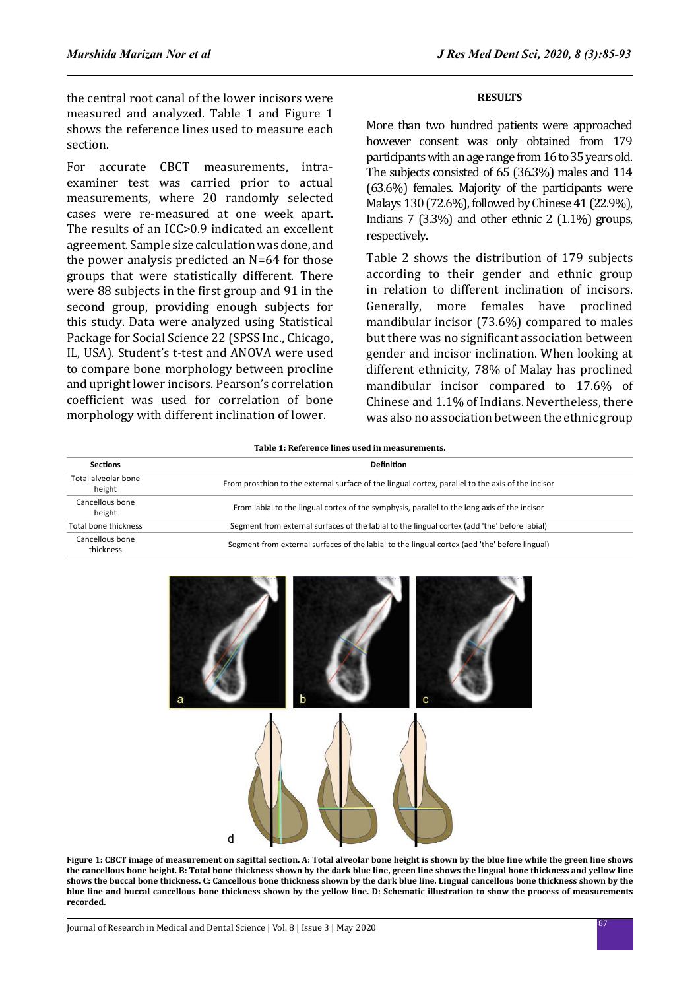the central root canal of the lower incisors were measured and analyzed. Table 1 and Figure 1 shows the reference lines used to measure each section.

For accurate CBCT measurements, intraexaminer test was carried prior to actual measurements, where 20 randomly selected cases were re-measured at one week apart. The results of an ICC>0.9 indicated an excellent agreement. Sample size calculation was done, and the power analysis predicted an N=64 for those groups that were statistically different. There were 88 subjects in the first group and 91 in the second group, providing enough subjects for this study. Data were analyzed using Statistical Package for Social Science 22 (SPSS Inc., Chicago, IL, USA). Student's t-test and ANOVA were used to compare bone morphology between procline and upright lower incisors. Pearson's correlation coefficient was used for correlation of bone morphology with different inclination of lower.

# **RESULTS**

More than two hundred patients were approached however consent was only obtained from 179 participants with an age range from 16 to 35 years old. The subjects consisted of 65 (36.3%) males and 114 (63.6%) females. Majority of the participants were Malays 130 (72.6%), followed by Chinese 41 (22.9%), Indians 7 (3.3%) and other ethnic 2 (1.1%) groups, respectively.

Table 2 shows the distribution of 179 subjects according to their gender and ethnic group in relation to different inclination of incisors. Generally, more females have proclined mandibular incisor (73.6%) compared to males but there was no significant association between gender and incisor inclination. When looking at different ethnicity, 78% of Malay has proclined mandibular incisor compared to 17.6% of Chinese and 1.1% of Indians. Nevertheless, there was also no association between the ethnic group

**Table 1: Reference lines used in measurements.**

| <b>Sections</b>               | <b>Definition</b>                                                                                 |
|-------------------------------|---------------------------------------------------------------------------------------------------|
| Total alveolar bone<br>height | From prosthion to the external surface of the lingual cortex, parallel to the axis of the incisor |
| Cancellous bone<br>height     | From labial to the lingual cortex of the symphysis, parallel to the long axis of the incisor      |
| Total bone thickness          | Segment from external surfaces of the labial to the lingual cortex (add 'the' before labial)      |
| Cancellous bone<br>thickness  | Segment from external surfaces of the labial to the lingual cortex (add 'the' before lingual)     |



**Figure 1: CBCT image of measurement on sagittal section. A: Total alveolar bone height is shown by the blue line while the green line shows the cancellous bone height. B: Total bone thickness shown by the dark blue line, green line shows the lingual bone thickness and yellow line shows the buccal bone thickness. C: Cancellous bone thickness shown by the dark blue line. Lingual cancellous bone thickness shown by the blue line and buccal cancellous bone thickness shown by the yellow line. D: Schematic illustration to show the process of measurements recorded.**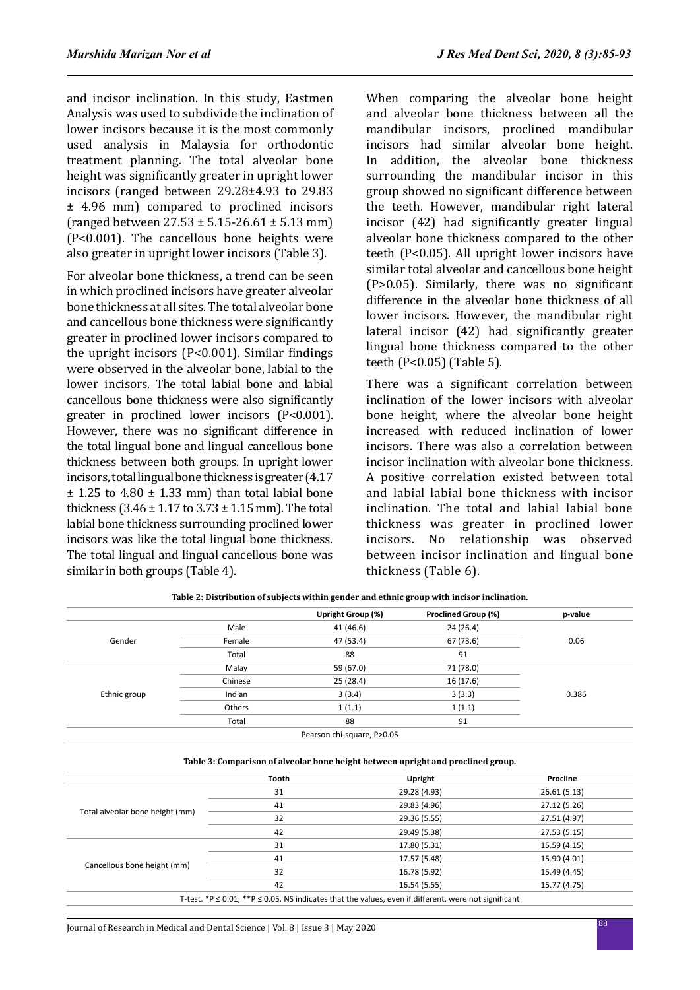and incisor inclination. In this study, Eastmen Analysis was used to subdivide the inclination of lower incisors because it is the most commonly used analysis in Malaysia for orthodontic treatment planning. The total alveolar bone height was significantly greater in upright lower incisors (ranged between 29.28±4.93 to 29.83 ± 4.96 mm) compared to proclined incisors (ranged between 27.53 ± 5.15-26.61 ± 5.13 mm) (P<0.001). The cancellous bone heights were also greater in upright lower incisors (Table 3).

For alveolar bone thickness, a trend can be seen in which proclined incisors have greater alveolar bone thickness at all sites. The total alveolar bone and cancellous bone thickness were significantly greater in proclined lower incisors compared to the upright incisors (P<0.001). Similar findings were observed in the alveolar bone, labial to the lower incisors. The total labial bone and labial cancellous bone thickness were also significantly greater in proclined lower incisors (P<0.001). However, there was no significant difference in the total lingual bone and lingual cancellous bone thickness between both groups. In upright lower incisors, total lingual bone thickness is greater (4.17  $±$  1.25 to 4.80  $±$  1.33 mm) than total labial bone thickness (3.46  $\pm$  1.17 to 3.73  $\pm$  1.15 mm). The total labial bone thickness surrounding proclined lower incisors was like the total lingual bone thickness. The total lingual and lingual cancellous bone was similar in both groups (Table 4).

When comparing the alveolar bone height and alveolar bone thickness between all the mandibular incisors, proclined mandibular incisors had similar alveolar bone height. In addition, the alveolar bone thickness surrounding the mandibular incisor in this group showed no significant difference between the teeth. However, mandibular right lateral incisor (42) had significantly greater lingual alveolar bone thickness compared to the other teeth (P<0.05). All upright lower incisors have similar total alveolar and cancellous bone height (P>0.05). Similarly, there was no significant difference in the alveolar bone thickness of all lower incisors. However, the mandibular right lateral incisor (42) had significantly greater lingual bone thickness compared to the other teeth (P<0.05) (Table 5).

There was a significant correlation between inclination of the lower incisors with alveolar bone height, where the alveolar bone height increased with reduced inclination of lower incisors. There was also a correlation between incisor inclination with alveolar bone thickness. A positive correlation existed between total and labial labial bone thickness with incisor inclination. The total and labial labial bone thickness was greater in proclined lower incisors. No relationship was observed between incisor inclination and lingual bone thickness (Table 6).

|              |         | Upright Group (%) | <b>Proclined Group (%)</b> | p-value |  |
|--------------|---------|-------------------|----------------------------|---------|--|
|              | Male    | 41 (46.6)         | 24 (26.4)                  |         |  |
| Gender       | Female  | 47 (53.4)         | 67 (73.6)                  | 0.06    |  |
|              | Total   | 88                | 91                         |         |  |
| Ethnic group | Malay   | 59 (67.0)         | 71 (78.0)                  |         |  |
|              | Chinese | 25(28.4)          | 16(17.6)                   |         |  |
|              | Indian  | 3(3.4)            | 3(3.3)                     | 0.386   |  |
|              | Others  | 1(1.1)            | 1(1.1)                     |         |  |
|              | Total   | 88                | 91                         |         |  |

**Table 2: Distribution of subjects within gender and ethnic group with incisor inclination.**

**Table 3: Comparison of alveolar bone height between upright and proclined group.**

|                                 | <b>Tooth</b> | Upright      | Procline     |
|---------------------------------|--------------|--------------|--------------|
|                                 | 31           | 29.28 (4.93) | 26.61(5.13)  |
|                                 | 41           | 29.83 (4.96) | 27.12 (5.26) |
| Total alveolar bone height (mm) | 32           | 29.36 (5.55) | 27.51 (4.97) |
|                                 | 42           | 29.49 (5.38) | 27.53 (5.15) |
|                                 | 31           | 17.80 (5.31) | 15.59 (4.15) |
|                                 | 41           | 17.57 (5.48) | 15.90 (4.01) |
| Cancellous bone height (mm)     | 32           | 16.78 (5.92) | 15.49 (4.45) |
|                                 | 42           | 16.54 (5.55) | 15.77 (4.75) |

T-test. \*P ≤ 0.01; \*\*P ≤ 0.05. NS indicates that the values, even if different, were not significant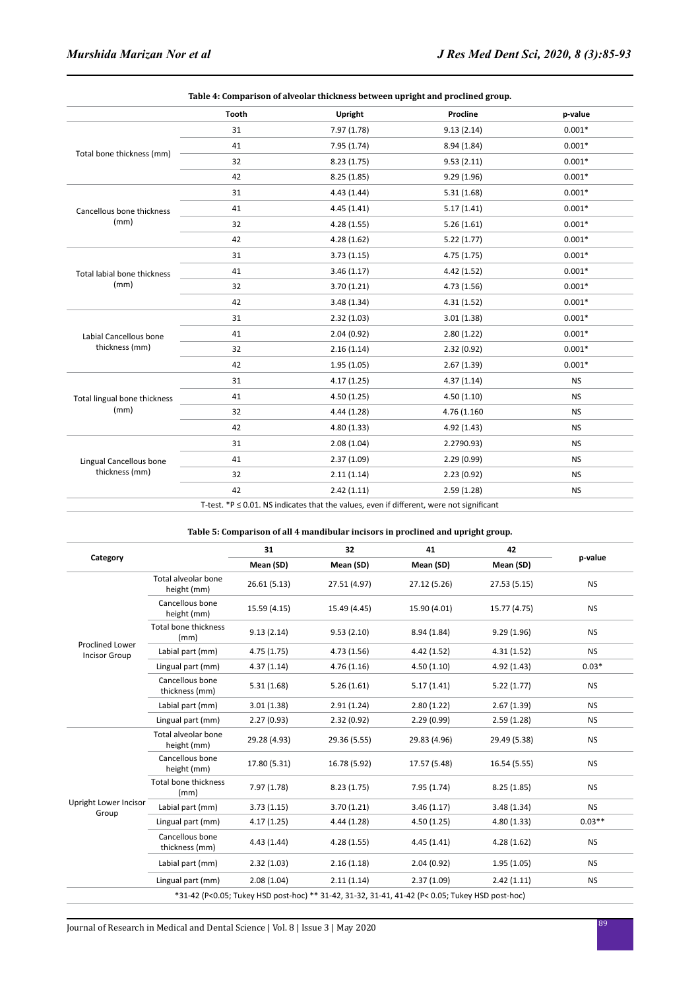|                              | Table 4: Comparison of alveolar thickness between upright and proclined group. |                                                                                                  |             |           |  |  |
|------------------------------|--------------------------------------------------------------------------------|--------------------------------------------------------------------------------------------------|-------------|-----------|--|--|
|                              | <b>Tooth</b>                                                                   | Upright                                                                                          | Procline    | p-value   |  |  |
|                              | 31                                                                             | 7.97 (1.78)                                                                                      | 9.13(2.14)  | $0.001*$  |  |  |
|                              | 41                                                                             | 7.95(1.74)                                                                                       | 8.94 (1.84) | $0.001*$  |  |  |
| Total bone thickness (mm)    | 32                                                                             | 8.23(1.75)                                                                                       | 9.53(2.11)  | $0.001*$  |  |  |
|                              | 42                                                                             | 8.25(1.85)                                                                                       | 9.29(1.96)  | $0.001*$  |  |  |
|                              | 31                                                                             | 4.43(1.44)                                                                                       | 5.31(1.68)  | $0.001*$  |  |  |
| Cancellous bone thickness    | 41                                                                             | 4.45(1.41)                                                                                       | 5.17(1.41)  | $0.001*$  |  |  |
| (mm)                         | 32                                                                             | 4.28(1.55)                                                                                       | 5.26(1.61)  | $0.001*$  |  |  |
|                              | 42                                                                             | 4.28(1.62)                                                                                       | 5.22(1.77)  | $0.001*$  |  |  |
|                              | 31                                                                             | 3.73(1.15)                                                                                       | 4.75(1.75)  | $0.001*$  |  |  |
| Total labial bone thickness  | 41                                                                             | 3.46(1.17)                                                                                       | 4.42(1.52)  | $0.001*$  |  |  |
| (mm)                         | 32                                                                             | 3.70(1.21)                                                                                       | 4.73(1.56)  | $0.001*$  |  |  |
|                              | 42                                                                             | 3.48(1.34)                                                                                       | 4.31(1.52)  | $0.001*$  |  |  |
|                              | 31                                                                             | 2.32(1.03)                                                                                       | 3.01(1.38)  | $0.001*$  |  |  |
| Labial Cancellous bone       | 41                                                                             | 2.04(0.92)                                                                                       | 2.80(1.22)  | $0.001*$  |  |  |
| thickness (mm)               | 32                                                                             | 2.16(1.14)                                                                                       | 2.32(0.92)  | $0.001*$  |  |  |
|                              | 42                                                                             | 1.95(1.05)                                                                                       | 2.67(1.39)  | $0.001*$  |  |  |
|                              | 31                                                                             | 4.17(1.25)                                                                                       | 4.37(1.14)  | <b>NS</b> |  |  |
| Total lingual bone thickness | 41                                                                             | 4.50(1.25)                                                                                       | 4.50(1.10)  | <b>NS</b> |  |  |
| (mm)                         | 32                                                                             | 4.44(1.28)                                                                                       | 4.76 (1.160 | <b>NS</b> |  |  |
|                              | 42                                                                             | 4.80(1.33)                                                                                       | 4.92(1.43)  | <b>NS</b> |  |  |
|                              | 31                                                                             | 2.08(1.04)                                                                                       | 2.2790.93)  | <b>NS</b> |  |  |
| Lingual Cancellous bone      | 41                                                                             | 2.37(1.09)                                                                                       | 2.29(0.99)  | <b>NS</b> |  |  |
| thickness (mm)               | 32                                                                             | 2.11(1.14)                                                                                       | 2.23(0.92)  | <b>NS</b> |  |  |
|                              | 42                                                                             | 2.42(1.11)                                                                                       | 2.59(1.28)  | <b>NS</b> |  |  |
|                              |                                                                                | $T$ tost $*D \times 0.01$ . NR indicates that the values, even if different were not significant |             |           |  |  |

T-test. \*P ≤ 0.01. NS indicates that the values, even if different, were not significant

#### **Table 5: Comparison of all 4 mandibular incisors in proclined and upright group.**

|                                                |                                    | 31           | 32                                                                                              | 41           | 42           |           |  |
|------------------------------------------------|------------------------------------|--------------|-------------------------------------------------------------------------------------------------|--------------|--------------|-----------|--|
| Category                                       |                                    | Mean (SD)    | Mean (SD)                                                                                       | Mean (SD)    | Mean (SD)    | p-value   |  |
| <b>Proclined Lower</b><br><b>Incisor Group</b> | Total alveolar bone<br>height (mm) | 26.61 (5.13) | 27.51 (4.97)                                                                                    | 27.12 (5.26) | 27.53 (5.15) | <b>NS</b> |  |
|                                                | Cancellous bone<br>height (mm)     | 15.59 (4.15) | 15.49 (4.45)                                                                                    | 15.90 (4.01) | 15.77 (4.75) | <b>NS</b> |  |
|                                                | Total bone thickness<br>(mm)       | 9.13(2.14)   | 9.53(2.10)                                                                                      | 8.94(1.84)   | 9.29(1.96)   | <b>NS</b> |  |
|                                                | Labial part (mm)                   | 4.75 (1.75)  | 4.73(1.56)                                                                                      | 4.42(1.52)   | 4.31(1.52)   | <b>NS</b> |  |
|                                                | Lingual part (mm)                  | 4.37(1.14)   | 4.76(1.16)                                                                                      | 4.50(1.10)   | 4.92 (1.43)  | $0.03*$   |  |
|                                                | Cancellous bone<br>thickness (mm)  | 5.31(1.68)   | 5.26(1.61)                                                                                      | 5.17(1.41)   | 5.22(1.77)   | <b>NS</b> |  |
|                                                | Labial part (mm)                   | 3.01(1.38)   | 2.91(1.24)                                                                                      | 2.80(1.22)   | 2.67(1.39)   | <b>NS</b> |  |
|                                                | Lingual part (mm)                  | 2.27(0.93)   | 2.32(0.92)                                                                                      | 2.29(0.99)   | 2.59(1.28)   | <b>NS</b> |  |
| Upright Lower Incisor<br>Group                 | Total alveolar bone<br>height (mm) | 29.28 (4.93) | 29.36 (5.55)                                                                                    | 29.83 (4.96) | 29.49 (5.38) | <b>NS</b> |  |
|                                                | Cancellous bone<br>height (mm)     | 17.80 (5.31) | 16.78 (5.92)                                                                                    | 17.57 (5.48) | 16.54 (5.55) | <b>NS</b> |  |
|                                                | Total bone thickness<br>(mm)       | 7.97(1.78)   | 8.23(1.75)                                                                                      | 7.95(1.74)   | 8.25(1.85)   | <b>NS</b> |  |
|                                                | Labial part (mm)                   | 3.73(1.15)   | 3.70(1.21)                                                                                      | 3.46(1.17)   | 3.48(1.34)   | <b>NS</b> |  |
|                                                | Lingual part (mm)                  | 4.17(1.25)   | 4.44(1.28)                                                                                      | 4.50(1.25)   | 4.80(1.33)   | $0.03**$  |  |
|                                                | Cancellous bone<br>thickness (mm)  | 4.43(1.44)   | 4.28(1.55)                                                                                      | 4.45(1.41)   | 4.28(1.62)   | <b>NS</b> |  |
|                                                | Labial part (mm)                   | 2.32(1.03)   | 2.16(1.18)                                                                                      | 2.04(0.92)   | 1.95(1.05)   | <b>NS</b> |  |
|                                                | Lingual part (mm)                  | 2.08(1.04)   | 2.11(1.14)                                                                                      | 2.37(1.09)   | 2.42(1.11)   | <b>NS</b> |  |
|                                                |                                    |              | *31-42 (P<0.05; Tukey HSD post-hoc) ** 31-42, 31-32, 31-41, 41-42 (P< 0.05; Tukey HSD post-hoc) |              |              |           |  |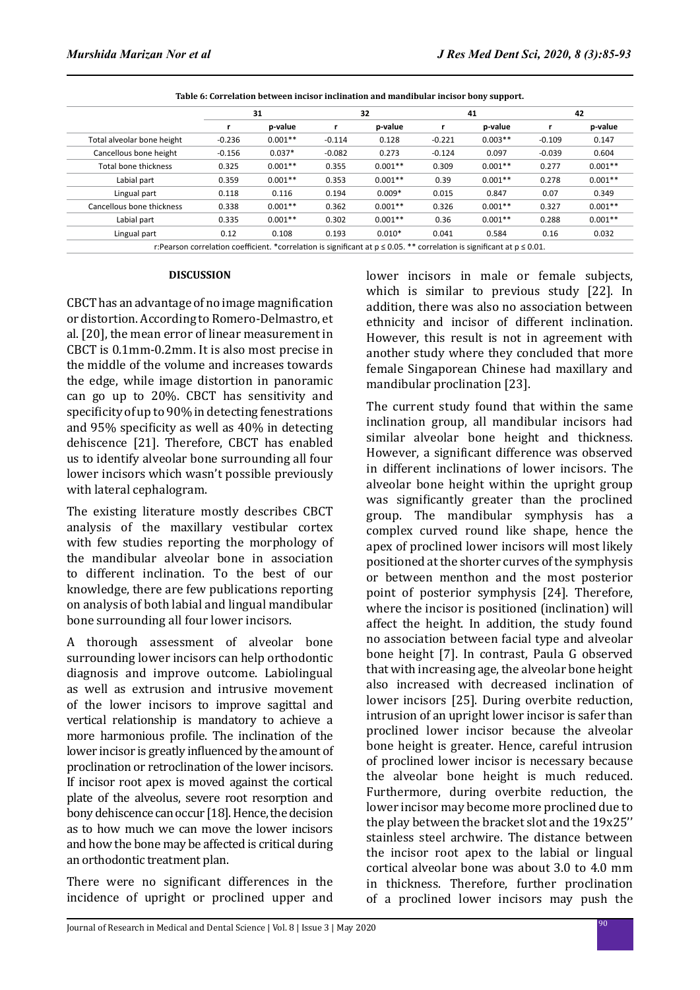|                            | 31       |           | 32       |           | 41       |           | 42       |           |
|----------------------------|----------|-----------|----------|-----------|----------|-----------|----------|-----------|
|                            | r        | p-value   | r        | p-value   | r        | p-value   |          | p-value   |
| Total alveolar bone height | $-0.236$ | $0.001**$ | $-0.114$ | 0.128     | $-0.221$ | $0.003**$ | $-0.109$ | 0.147     |
| Cancellous bone height     | $-0.156$ | $0.037*$  | $-0.082$ | 0.273     | $-0.124$ | 0.097     | $-0.039$ | 0.604     |
| Total bone thickness       | 0.325    | $0.001**$ | 0.355    | $0.001**$ | 0.309    | $0.001**$ | 0.277    | $0.001**$ |
| Labial part                | 0.359    | $0.001**$ | 0.353    | $0.001**$ | 0.39     | $0.001**$ | 0.278    | $0.001**$ |
| Lingual part               | 0.118    | 0.116     | 0.194    | $0.009*$  | 0.015    | 0.847     | 0.07     | 0.349     |
| Cancellous bone thickness  | 0.338    | $0.001**$ | 0.362    | $0.001**$ | 0.326    | $0.001**$ | 0.327    | $0.001**$ |
| Labial part                | 0.335    | $0.001**$ | 0.302    | $0.001**$ | 0.36     | $0.001**$ | 0.288    | $0.001**$ |
| Lingual part               | 0.12     | 0.108     | 0.193    | $0.010*$  | 0.041    | 0.584     | 0.16     | 0.032     |

**Table 6: Correlation between incisor inclination and mandibular incisor bony support.**

#### **DISCUSSION**

CBCT has an advantage of no image magnification or distortion. According to Romero-Delmastro, et al. [20], the mean error of linear measurement in CBCT is 0.1mm-0.2mm. It is also most precise in the middle of the volume and increases towards the edge, while image distortion in panoramic can go up to 20%. CBCT has sensitivity and specificity of up to 90% in detecting fenestrations and 95% specificity as well as 40% in detecting dehiscence [21]. Therefore, CBCT has enabled us to identify alveolar bone surrounding all four lower incisors which wasn't possible previously with lateral cephalogram.

The existing literature mostly describes CBCT analysis of the maxillary vestibular cortex with few studies reporting the morphology of the mandibular alveolar bone in association to different inclination. To the best of our knowledge, there are few publications reporting on analysis of both labial and lingual mandibular bone surrounding all four lower incisors.

A thorough assessment of alveolar bone surrounding lower incisors can help orthodontic diagnosis and improve outcome. Labiolingual as well as extrusion and intrusive movement of the lower incisors to improve sagittal and vertical relationship is mandatory to achieve a more harmonious profile. The inclination of the lower incisor is greatly influenced by the amount of proclination or retroclination of the lower incisors. If incisor root apex is moved against the cortical plate of the alveolus, severe root resorption and bony dehiscence can occur [18]. Hence, the decision as to how much we can move the lower incisors and how the bone may be affected is critical during an orthodontic treatment plan.

There were no significant differences in the incidence of upright or proclined upper and lower incisors in male or female subjects, which is similar to previous study [22]. In addition, there was also no association between ethnicity and incisor of different inclination. However, this result is not in agreement with another study where they concluded that more female Singaporean Chinese had maxillary and mandibular proclination [23].

The current study found that within the same inclination group, all mandibular incisors had similar alveolar bone height and thickness. However, a significant difference was observed in different inclinations of lower incisors. The alveolar bone height within the upright group was significantly greater than the proclined group. The mandibular symphysis has a complex curved round like shape, hence the apex of proclined lower incisors will most likely positioned at the shorter curves of the symphysis or between menthon and the most posterior point of posterior symphysis [24]. Therefore, where the incisor is positioned (inclination) will affect the height. In addition, the study found no association between facial type and alveolar bone height [7]. In contrast, Paula G observed that with increasing age, the alveolar bone height also increased with decreased inclination of lower incisors [25]. During overbite reduction, intrusion of an upright lower incisor is safer than proclined lower incisor because the alveolar bone height is greater. Hence, careful intrusion of proclined lower incisor is necessary because the alveolar bone height is much reduced. Furthermore, during overbite reduction, the lower incisor may become more proclined due to the play between the bracket slot and the 19x25'' stainless steel archwire. The distance between the incisor root apex to the labial or lingual cortical alveolar bone was about 3.0 to 4.0 mm in thickness. Therefore, further proclination of a proclined lower incisors may push the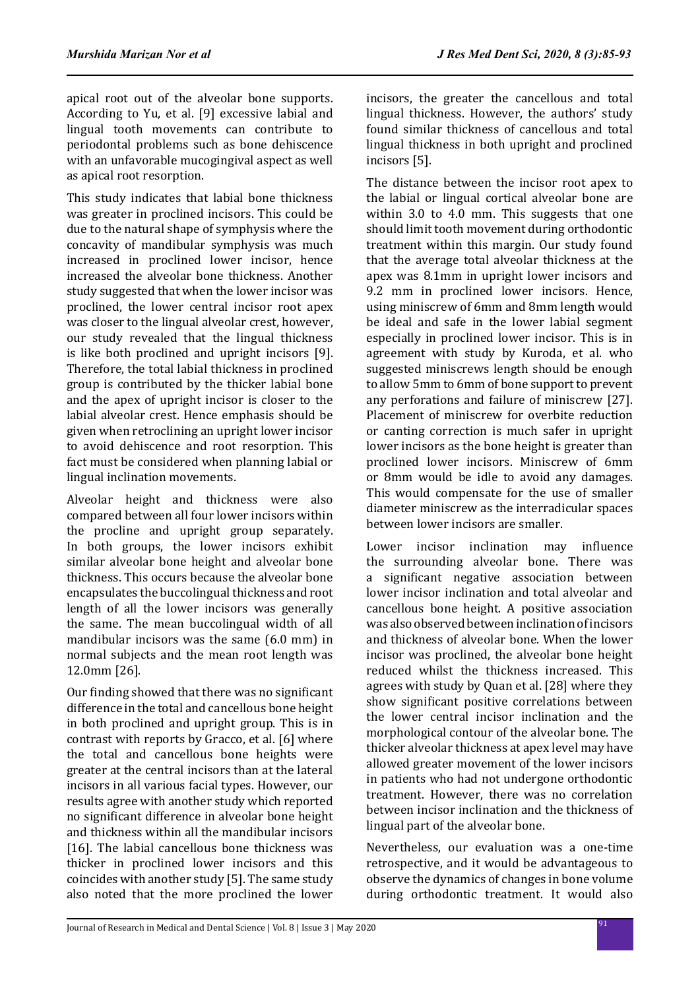apical root out of the alveolar bone supports. According to Yu, et al. [9] excessive labial and lingual tooth movements can contribute to periodontal problems such as bone dehiscence with an unfavorable mucogingival aspect as well as apical root resorption.

This study indicates that labial bone thickness was greater in proclined incisors. This could be due to the natural shape of symphysis where the concavity of mandibular symphysis was much increased in proclined lower incisor, hence increased the alveolar bone thickness. Another study suggested that when the lower incisor was proclined, the lower central incisor root apex was closer to the lingual alveolar crest, however, our study revealed that the lingual thickness is like both proclined and upright incisors [9]. Therefore, the total labial thickness in proclined group is contributed by the thicker labial bone and the apex of upright incisor is closer to the labial alveolar crest. Hence emphasis should be given when retroclining an upright lower incisor to avoid dehiscence and root resorption. This fact must be considered when planning labial or lingual inclination movements.

Alveolar height and thickness were also compared between all four lower incisors within the procline and upright group separately. In both groups, the lower incisors exhibit similar alveolar bone height and alveolar bone thickness. This occurs because the alveolar bone encapsulates the buccolingual thickness and root length of all the lower incisors was generally the same. The mean buccolingual width of all mandibular incisors was the same (6.0 mm) in normal subjects and the mean root length was 12.0mm [26].

Our finding showed that there was no significant difference in the total and cancellous bone height in both proclined and upright group. This is in contrast with reports by Gracco, et al. [6] where the total and cancellous bone heights were greater at the central incisors than at the lateral incisors in all various facial types. However, our results agree with another study which reported no significant difference in alveolar bone height and thickness within all the mandibular incisors [16]. The labial cancellous bone thickness was thicker in proclined lower incisors and this coincides with another study [5]. The same study also noted that the more proclined the lower incisors, the greater the cancellous and total lingual thickness. However, the authors' study found similar thickness of cancellous and total lingual thickness in both upright and proclined incisors [5].

The distance between the incisor root apex to the labial or lingual cortical alveolar bone are within 3.0 to 4.0 mm. This suggests that one should limit tooth movement during orthodontic treatment within this margin. Our study found that the average total alveolar thickness at the apex was 8.1mm in upright lower incisors and 9.2 mm in proclined lower incisors. Hence, using miniscrew of 6mm and 8mm length would be ideal and safe in the lower labial segment especially in proclined lower incisor. This is in agreement with study by Kuroda, et al. who suggested miniscrews length should be enough to allow 5mm to 6mm of bone support to prevent any perforations and failure of miniscrew [27]. Placement of miniscrew for overbite reduction or canting correction is much safer in upright lower incisors as the bone height is greater than proclined lower incisors. Miniscrew of 6mm or 8mm would be idle to avoid any damages. This would compensate for the use of smaller diameter miniscrew as the interradicular spaces between lower incisors are smaller.

Lower incisor inclination may influence the surrounding alveolar bone. There was a significant negative association between lower incisor inclination and total alveolar and cancellous bone height. A positive association was also observed between inclination of incisors and thickness of alveolar bone. When the lower incisor was proclined, the alveolar bone height reduced whilst the thickness increased. This agrees with study by Quan et al. [28] where they show significant positive correlations between the lower central incisor inclination and the morphological contour of the alveolar bone. The thicker alveolar thickness at apex level may have allowed greater movement of the lower incisors in patients who had not undergone orthodontic treatment. However, there was no correlation between incisor inclination and the thickness of lingual part of the alveolar bone.

Nevertheless, our evaluation was a one-time retrospective, and it would be advantageous to observe the dynamics of changes in bone volume during orthodontic treatment. It would also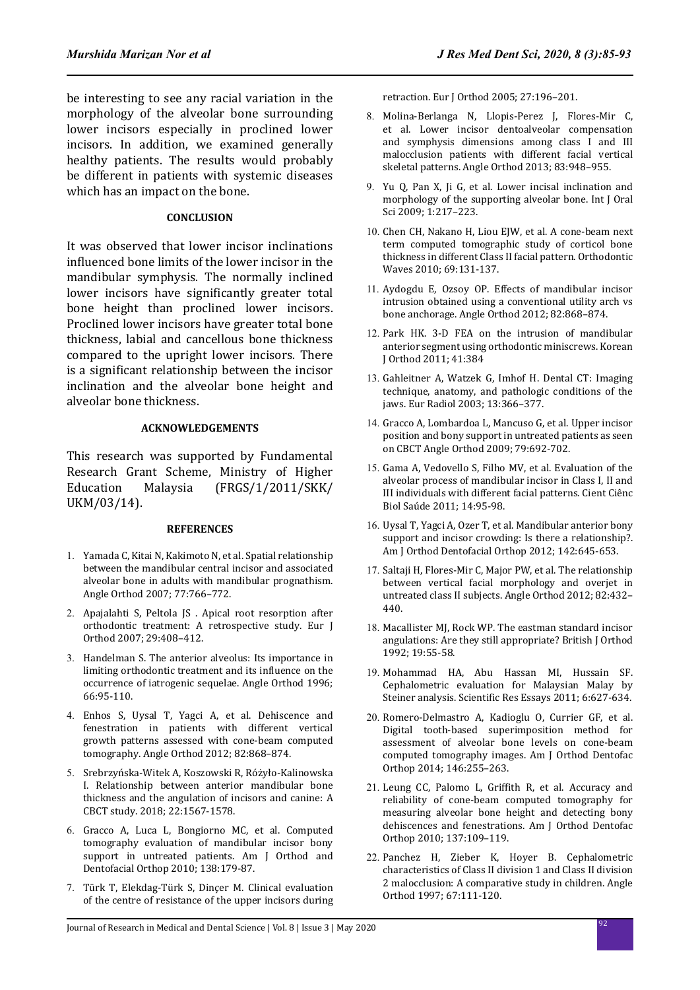be interesting to see any racial variation in the morphology of the alveolar bone surrounding lower incisors especially in proclined lower incisors. In addition, we examined generally healthy patients. The results would probably be different in patients with systemic diseases which has an impact on the bone.

# **CONCLUSION**

It was observed that lower incisor inclinations influenced bone limits of the lower incisor in the mandibular symphysis. The normally inclined lower incisors have significantly greater total bone height than proclined lower incisors. Proclined lower incisors have greater total bone thickness, labial and cancellous bone thickness compared to the upright lower incisors. There is a significant relationship between the incisor inclination and the alveolar bone height and alveolar bone thickness.

# **ACKNOWLEDGEMENTS**

This research was supported by Fundamental Research Grant Scheme, Ministry of Higher<br>Education Malaysia (FRGS/1/2011/SKK/ Education Malaysia (FRGS/1/2011/SKK/ UKM/03/14).

#### **REFERENCES**

- 1. Yamada C, Kitai N, Kakimoto N, et al. Spatial relationship between the mandibular central incisor and associated alveolar bone in adults with mandibular prognathism. Angle Orthod 2007; 77:766–772.
- 2. Apajalahti S, Peltola JS . Apical root resorption after orthodontic treatment: A retrospective study. Eur J Orthod 2007; 29:408–412.
- 3. Handelman S. The anterior alveolus: Its importance in limiting orthodontic treatment and its influence on the occurrence of iatrogenic sequelae. Angle Orthod 1996; 66:95-110.
- 4. Enhos S, Uysal T, Yagci A, et al. Dehiscence and fenestration in patients with different vertical growth patterns assessed with cone-beam computed tomography. Angle Orthod 2012; 82:868–874.
- 5. Srebrzyńska-Witek A, Koszowski R, Różyło-Kalinowska I. Relationship between anterior mandibular bone thickness and the angulation of incisors and canine: A CBCT study. 2018; 22:1567-1578.
- 6. Gracco A, Luca L, Bongiorno MC, et al. Computed tomography evaluation of mandibular incisor bony support in untreated patients. Am J Orthod and Dentofacial Orthop 2010; 138:179-87.
- 7. Türk T, Elekdag-Türk S, Dinçer M. Clinical evaluation of the centre of resistance of the upper incisors during

retraction. Eur J Orthod 2005; 27:196–201.

- 8. Molina-Berlanga N, Llopis-Perez J, Flores-Mir C, et al. Lower incisor dentoalveolar compensation and symphysis dimensions among class I and III malocclusion patients with different facial vertical skeletal patterns. Angle Orthod 2013; 83:948–955.
- 9. Yu Q, Pan X, Ji G, et al. Lower incisal inclination and morphology of the supporting alveolar bone. Int J Oral Sci 2009; 1:217–223.
- 10. Chen CH, Nakano H, Liou EJW, et al. A cone-beam next term computed tomographic study of corticol bone thickness in different Class II facial pattern. Orthodontic Waves 2010; 69:131-137.
- 11. Aydogdu E, Ozsoy OP. Effects of mandibular incisor intrusion obtained using a conventional utility arch vs bone anchorage. Angle Orthod 2012; 82:868–874.
- 12. Park HK. 3-D FEA on the intrusion of mandibular anterior segment using orthodontic miniscrews. Korean J Orthod 2011; 41:384
- 13. Gahleitner A, Watzek G, Imhof H. Dental CT: Imaging technique, anatomy, and pathologic conditions of the jaws. Eur Radiol 2003; 13:366–377.
- 14. Gracco A, Lombardoa L, Mancuso G, et al. Upper incisor position and bony support in untreated patients as seen on CBCT Angle Orthod 2009; 79:692-702.
- 15. Gama A, Vedovello S, Filho MV, et al. Evaluation of the alveolar process of mandibular incisor in Class I, II and III individuals with different facial patterns. Cient Ciênc Biol Saúde 2011; 14:95-98.
- 16. Uysal T, Yagci A, Ozer T, et al. Mandibular anterior bony support and incisor crowding: Is there a relationship?. Am J Orthod Dentofacial Orthop 2012; 142:645-653.
- 17. Saltaji H, Flores-Mir C, Major PW, et al. The relationship between vertical facial morphology and overjet in untreated class II subjects. Angle Orthod 2012; 82:432– 440.
- 18. Macallister MJ, Rock WP. The eastman standard incisor angulations: Are they still appropriate? British J Orthod 1992; 19:55-58.
- 19. Mohammad HA, Abu Hassan MI, Hussain SF. Cephalometric evaluation for Malaysian Malay by Steiner analysis. Scientific Res Essays 2011; 6:627-634.
- 20. Romero-Delmastro A, Kadioglu O, Currier GF, et al. Digital tooth-based superimposition method for assessment of alveolar bone levels on cone-beam computed tomography images. Am J Orthod Dentofac Orthop 2014; 146:255–263.
- 21. Leung CC, Palomo L, Griffith R, et al. Accuracy and reliability of cone-beam computed tomography for measuring alveolar bone height and detecting bony dehiscences and fenestrations. Am J Orthod Dentofac Orthop 2010; 137:109–119.
- 22. Panchez H, Zieber K, Hoyer B. Cephalometric characteristics of Class II division 1 and Class II division 2 malocclusion: A comparative study in children. Angle Orthod 1997; 67:111-120.